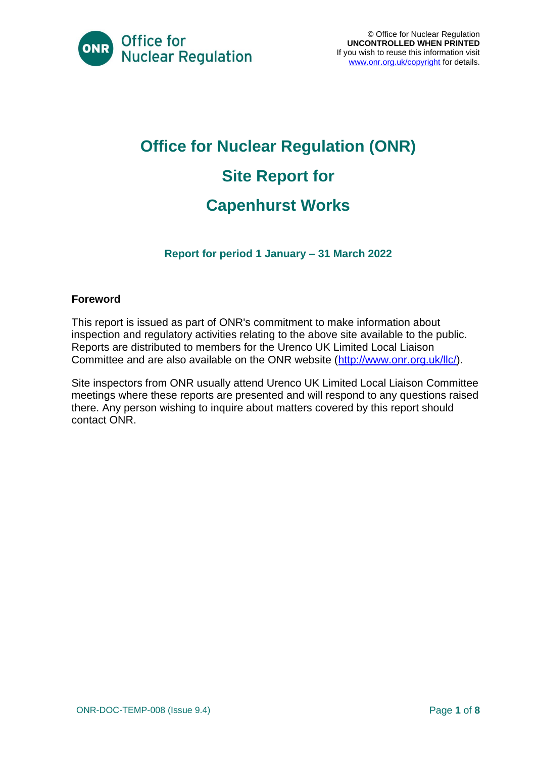

# **Office for Nuclear Regulation (ONR) Site Report for Capenhurst Works**

**Report for period 1 January – 31 March 2022**

#### **Foreword**

This report is issued as part of ONR's commitment to make information about inspection and regulatory activities relating to the above site available to the public. Reports are distributed to members for the Urenco UK Limited Local Liaison Committee and are also available on the ONR website [\(http://www.onr.org.uk/llc/\)](http://www.onr.org.uk/llc/).

Site inspectors from ONR usually attend Urenco UK Limited Local Liaison Committee meetings where these reports are presented and will respond to any questions raised there. Any person wishing to inquire about matters covered by this report should contact ONR.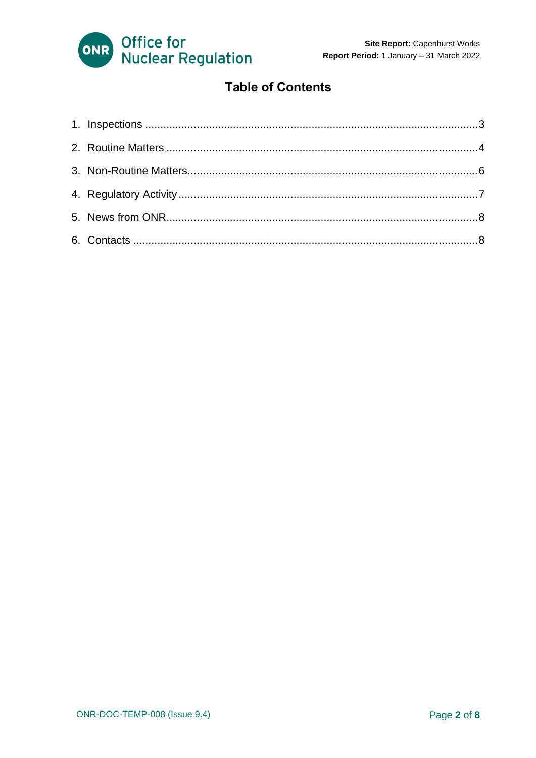

#### **Table of Contents**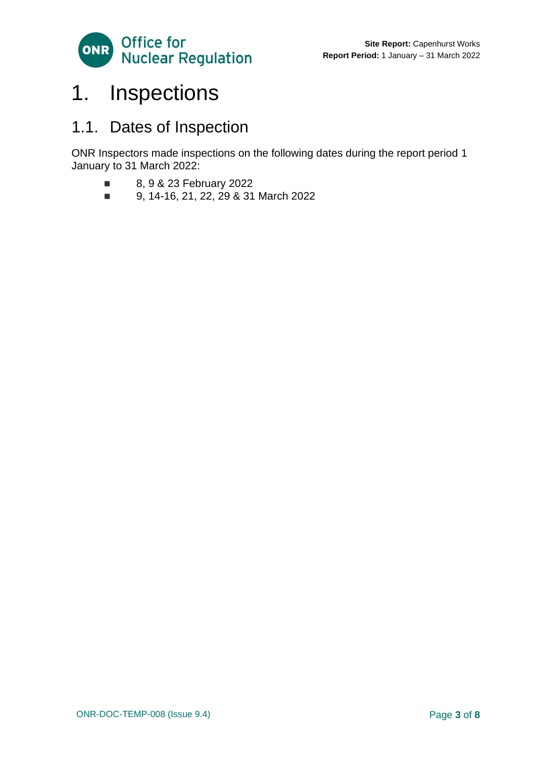

# <span id="page-2-0"></span>1. Inspections

### 1.1. Dates of Inspection

ONR Inspectors made inspections on the following dates during the report period 1 January to 31 March 2022:

- 8, 9 & 23 February 2022
- 9, 14-16, 21, 22, 29 & 31 March 2022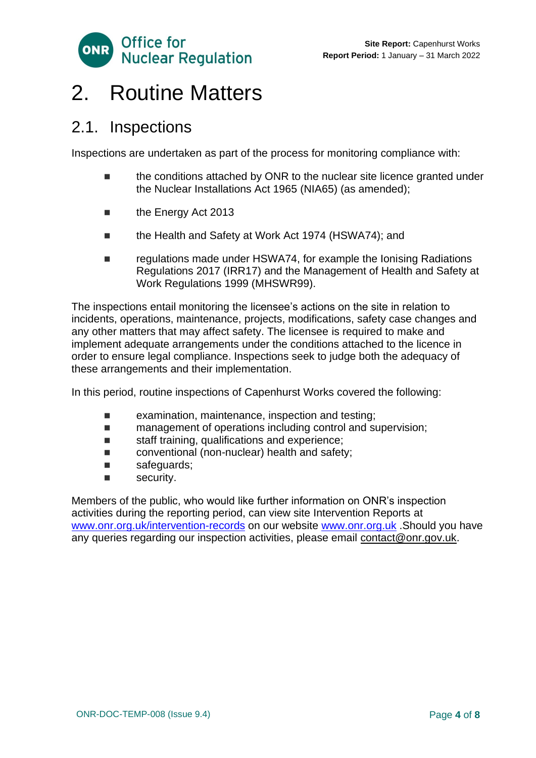

# <span id="page-3-0"></span>2. Routine Matters

#### 2.1. Inspections

Inspections are undertaken as part of the process for monitoring compliance with:

- the conditions attached by ONR to the nuclear site licence granted under the Nuclear Installations Act 1965 (NIA65) (as amended);
- the Energy Act 2013
- the Health and Safety at Work Act 1974 (HSWA74); and
- regulations made under HSWA74, for example the Ionising Radiations Regulations 2017 (IRR17) and the Management of Health and Safety at Work Regulations 1999 (MHSWR99).

The inspections entail monitoring the licensee's actions on the site in relation to incidents, operations, maintenance, projects, modifications, safety case changes and any other matters that may affect safety. The licensee is required to make and implement adequate arrangements under the conditions attached to the licence in order to ensure legal compliance. Inspections seek to judge both the adequacy of these arrangements and their implementation.

In this period, routine inspections of Capenhurst Works covered the following:

- examination, maintenance, inspection and testing;
- management of operations including control and supervision;
- staff training, qualifications and experience;
- conventional (non-nuclear) health and safety;
- safeguards;
- security.

Members of the public, who would like further information on ONR's inspection activities during the reporting period, can view site Intervention Reports at [www.onr.org.uk/intervention-records](http://www.onr.org.uk./intervention-records) on our website [www.onr.org.uk](http://www.onr.org.uk/) .Should you have any queries regarding our inspection activities, please email [contact@onr.gov.uk.](mailto:contact@onr.gov.uk)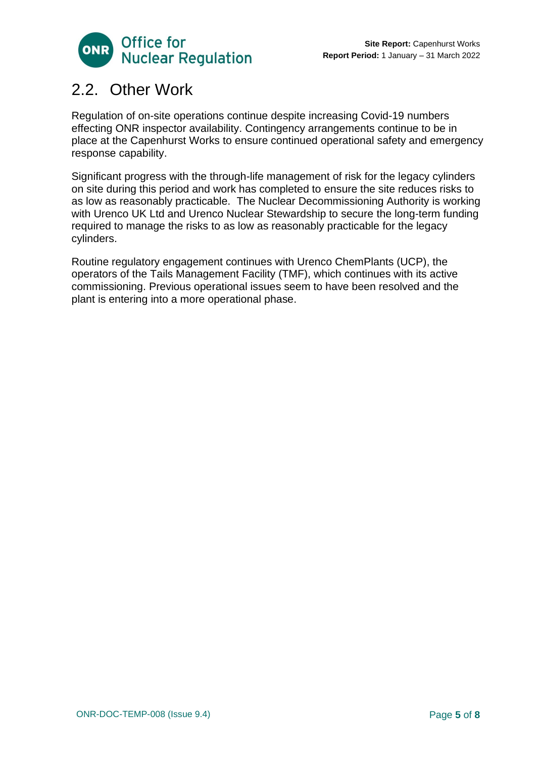

### 2.2. Other Work

Regulation of on-site operations continue despite increasing Covid-19 numbers effecting ONR inspector availability. Contingency arrangements continue to be in place at the Capenhurst Works to ensure continued operational safety and emergency response capability.

Significant progress with the through-life management of risk for the legacy cylinders on site during this period and work has completed to ensure the site reduces risks to as low as reasonably practicable. The Nuclear Decommissioning Authority is working with Urenco UK Ltd and Urenco Nuclear Stewardship to secure the long-term funding required to manage the risks to as low as reasonably practicable for the legacy cylinders.

Routine regulatory engagement continues with Urenco ChemPlants (UCP), the operators of the Tails Management Facility (TMF), which continues with its active commissioning. Previous operational issues seem to have been resolved and the plant is entering into a more operational phase.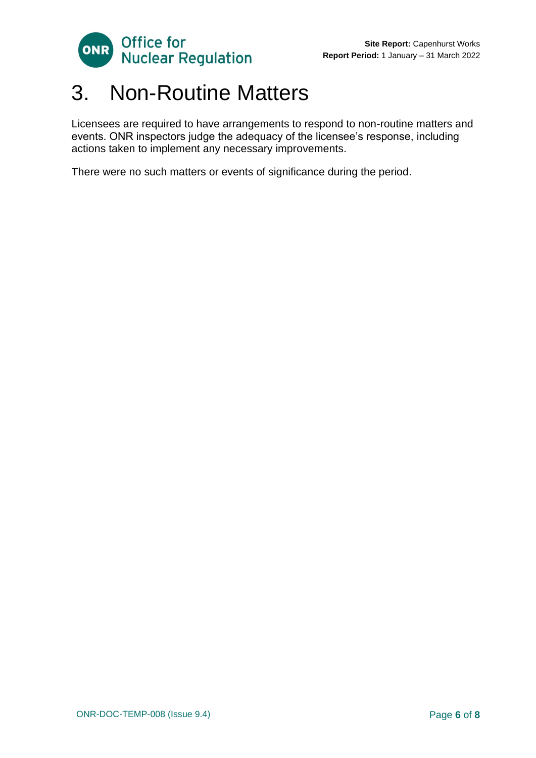

# <span id="page-5-0"></span>3. Non-Routine Matters

Licensees are required to have arrangements to respond to non-routine matters and events. ONR inspectors judge the adequacy of the licensee's response, including actions taken to implement any necessary improvements.

There were no such matters or events of significance during the period.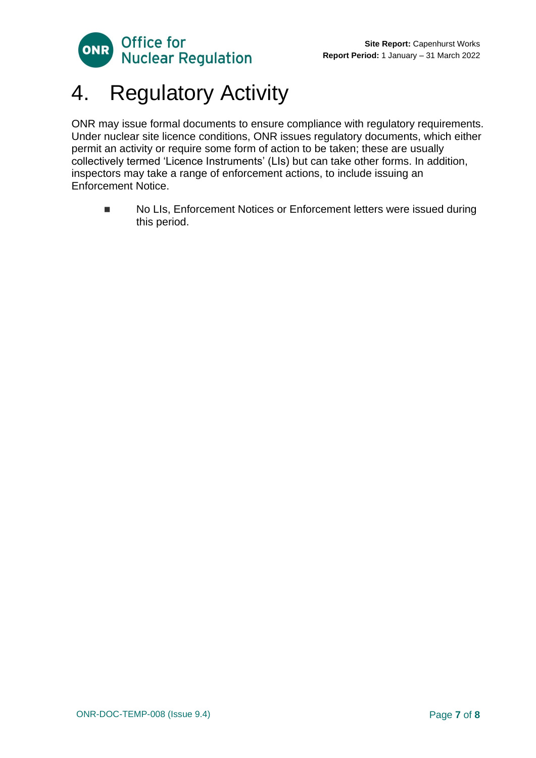

# <span id="page-6-0"></span>4. Regulatory Activity

ONR may issue formal documents to ensure compliance with regulatory requirements. Under nuclear site licence conditions, ONR issues regulatory documents, which either permit an activity or require some form of action to be taken; these are usually collectively termed 'Licence Instruments' (LIs) but can take other forms. In addition, inspectors may take a range of enforcement actions, to include issuing an Enforcement Notice.

■ No LIs, Enforcement Notices or Enforcement letters were issued during this period.